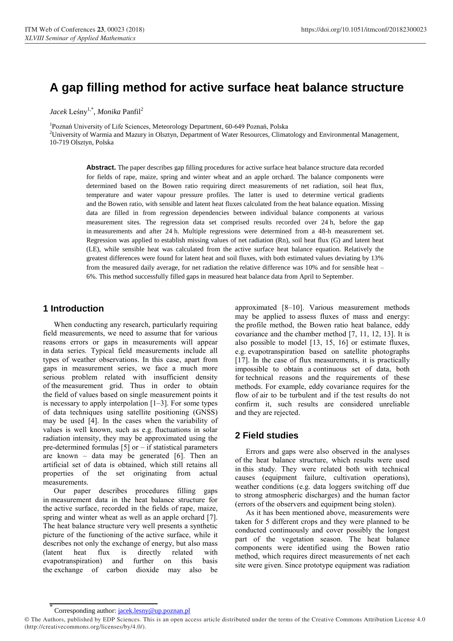# **A gap filling method for active surface heat balance structure**

 $\emph{Jacek}$  Leśny<sup>1,\*</sup>, *Monika* Panfil<sup>2</sup>

1 Poznań University of Life Sciences, Meteorology Department, 60-649 Poznań, Polska <sup>2</sup>University of Warmia and Mazury in Olsztyn, Department of Water Resources, Climatology and Environmental Management, 10-719 Olsztyn, Polska

> **Abstract.** The paper describes gap filling procedures for active surface heat balance structure data recorded for fields of rape, maize, spring and winter wheat and an apple orchard. The balance components were determined based on the Bowen ratio requiring direct measurements of net radiation, soil heat flux, temperature and water vapour pressure profiles. The latter is used to determine vertical gradients and the Bowen ratio, with sensible and latent heat fluxes calculated from the heat balance equation. Missing data are filled in from regression dependencies between individual balance components at various measurement sites. The regression data set comprised results recorded over 24 h, before the gap in measurements and after 24 h. Multiple regressions were determined from a 48-h measurement set. Regression was applied to establish missing values of net radiation (Rn), soil heat flux (G) and latent heat (LE), while sensible heat was calculated from the active surface heat balance equation. Relatively the greatest differences were found for latent heat and soil fluxes, with both estimated values deviating by 13% from the measured daily average, for net radiation the relative difference was 10% and for sensible heat – 6%. This method successfully filled gaps in measured heat balance data from April to September.

## **1 Introduction**

When conducting any research, particularly requiring field measurements, we need to assume that for various reasons errors or gaps in measurements will appear in data series. Typical field measurements include all types of weather observations. In this case, apart from gaps in measurement series, we face a much more serious problem related with insufficient density of the measurement grid. Thus in order to obtain the field of values based on single measurement points it is necessary to apply interpolation [\[1](#page-4-0)–[3\]](#page-4-1). For some types of data techniques using satellite positioning (GNSS) may be used [\[4\]](#page-4-2). In the cases when the variability of values is well known, such as e.g. fluctuations in solar radiation intensity, they may be approximated using the pre-determined formulas  $[5]$  or – if statistical parameters are known – data may be generated [\[6\]](#page-4-4). Then an artificial set of data is obtained, which still retains all properties of the set originating from actual measurements.

Our paper describes procedures filling gaps in measurement data in the heat balance structure for the active surface, recorded in the fields of rape, maize, spring and winter wheat as well as an apple orchard [\[7\]](#page-4-5). The heat balance structure very well presents a synthetic picture of the functioning of the active surface, while it describes not only the exchange of energy, but also mass (latent heat flux is directly related with evapotranspiration) and further on this basis the exchange of carbon dioxide may also be

approximated [\[8](#page-4-6)–[10\]](#page-4-7). Various measurement methods may be applied to assess fluxes of mass and energy: the profile method, the Bowen ratio heat balance, eddy covariance and the chamber method [\[7,](#page-4-5) [11,](#page-4-8) [12,](#page-4-9) [13\]](#page-4-10). It is also possible to model [\[13,](#page-4-10) [15,](#page-4-11) [16\]](#page-4-12) or estimate fluxes, e.g. evapotranspiration based on satellite photographs [\[17\]](#page-4-13). In the case of flux measurements, it is practically impossible to obtain a continuous set of data, both for technical reasons and the requirements of these methods. For example, eddy covariance requires for the flow of air to be turbulent and if the test results do not confirm it, such results are considered unreliable and they are rejected.

## **2 Field studies**

Errors and gaps were also observed in the analyses of the heat balance structure, which results were used in this study. They were related both with technical causes (equipment failure, cultivation operations), weather conditions (e.g. data loggers switching off due to strong atmospheric discharges) and the human factor (errors of the observers and equipment being stolen).

As it has been mentioned above, measurements were taken for 5 different crops and they were planned to be conducted continuously and cover possibly the longest part of the vegetation season. The heat balance components were identified using the Bowen ratio method, which requires direct measurements of net each site were given. Since prototype equipment was radiation

<sup>\*</sup> Corresponding author: jacek.lesny@up.poznan.pl

<sup>©</sup> The Authors, published by EDP Sciences. This is an open access article distributed under the terms of the Creative Commons Attribution License 4.0 (http://creativecommons.org/licenses/by/4.0/).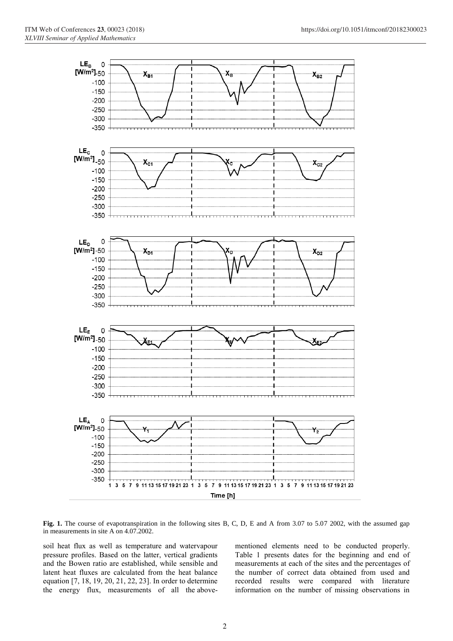

**Fig. 1.** The course of evapotranspiration in the following sites B, C, D, E and A from 3.07 to 5.07 2002, with the assumed gap in measurements in site A on 4.07.2002.

soil heat flux as well as temperature and watervapour pressure profiles. Based on the latter, vertical gradients and the Bowen ratio are established, while sensible and latent heat fluxes are calculated from the heat balance equation [\[7,](#page-4-5) [18,](#page-4-14) [19,](#page-5-0) [20,](#page-5-1) [21,](#page-5-2) [22,](#page-5-3) [23\]](#page-5-4). In order to determine the energy flux, measurements of all the abovementioned elements need to be conducted properly. Table 1 presents dates for the beginning and end of measurements at each of the sites and the percentages of the number of correct data obtained from used and recorded results were compared with literature information on the number of missing observations in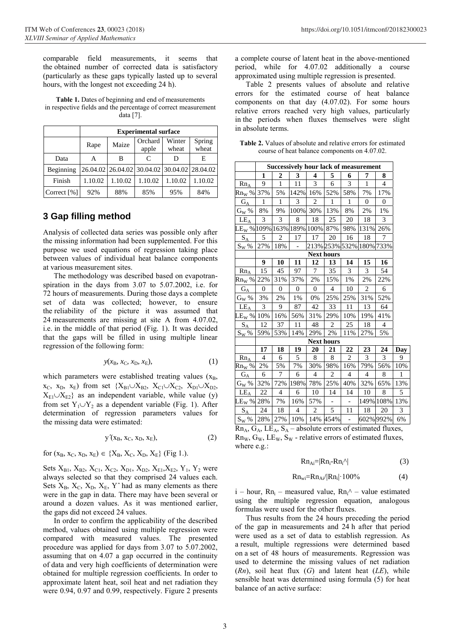comparable field measurements, it seems that the obtained number of corrected data is satisfactory (particularly as these gaps typically lasted up to several hours, with the longest not exceeding 24 h).

| Table 1. Dates of beginning and end of measurements            |
|----------------------------------------------------------------|
| in respective fields and the percentage of correct measurement |
| data $[7]$ .                                                   |

|                            |         |         | <b>Experimental surface</b> |                                              |                 |  |
|----------------------------|---------|---------|-----------------------------|----------------------------------------------|-----------------|--|
|                            | Rape    | Maize   | Orchard<br>apple            | Winter<br>wheat                              | Spring<br>wheat |  |
| Data                       | А       | в       | $\mathsf{C}$                |                                              | E               |  |
| Beginning                  |         |         |                             | 26.04.02 26.04.02 30.04.02 30.04.02 28.04.02 |                 |  |
| Finish                     | 1.10.02 | 1.10.02 | 1.10.02                     | 1.10.02                                      | 1.10.02         |  |
| Correct $\lceil \% \rceil$ | 92%     | 88%     | 85%                         | 95%                                          | 84%             |  |

# **3 Gap filling method**

Analysis of collected data series was possible only after the missing information had been supplemented. For this purpose we used equations of regression taking place between values of individual heat balance components at various measurement sites.

The methodology was described based on evapotranspiration in the days from 3.07 to 5.07.2002, i.e. for 72 hours of measurements. During those days a complete set of data was collected; however, to ensure the reliability of the picture it was assumed that 24 measurements are missing at site A from 4.07.02, i.e. in the middle of that period (Fig. 1). It was decided that the gaps will be filled in using multiple linear regression of the following form:

$$
y(x_B, x_C, x_D, x_E), \tag{1}
$$

which parameters were established treating values  $(x_B,$  $x_C$ ,  $x_D$ ,  $x_E$ ) from set  $\{X_{B1} \cup X_{B2}$ ,  $X_{C1} \cup X_{C2}$ ,  $X_{D1} \cup X_{D2}$ ,  $X_{E1} \cup X_{E2}$  as an independent variable, while value (y) from set  $Y_1 \cup Y_2$  as a dependent variable (Fig. 1). After determination of regression parameters values for the missing data were estimated:

$$
y^{\gamma}(x_B, x_C, x_D, x_E), \qquad (2)
$$

for  $(x_B, x_C, x_D, x_E) \in \{X_B, X_C, X_D, X_E\}$  (Fig 1.).

Sets  $X_{B1}$ ,  $X_{B2}$ ,  $X_{C1}$ ,  $X_{C2}$ ,  $X_{D1}$ ,  $X_{D2}$ ,  $X_{E1}$ ,  $X_{E2}$ ,  $Y_1$ ,  $Y_2$  were always selected so that they comprised 24 values each. Sets  $X_B$ ,  $X_C$ ,  $X_D$ ,  $X_E$ ,  $Y^{\wedge}$  had as many elements as there were in the gap in data. There may have been several or around a dozen values. As it was mentioned earlier, the gaps did not exceed 24 values.

In order to confirm the applicability of the described method, values obtained using multiple regression were compared with measured values. The presented procedure was applied for days from 3.07 to 5.07.2002, assuming that on 4.07 a gap occurred in the continuity of data and very high coefficients of determination were obtained for multiple regression coefficients. In order to approximate latent heat, soil heat and net radiation they were 0.94, 0.97 and 0.99, respectively. Figure 2 presents a complete course of latent heat in the above-mentioned period, while for 4.07.02 additionally a course approximated using multiple regression is presented.

Table 2 presents values of absolute and relative errors for the estimated course of heat balance components on that day (4.07.02). For some hours relative errors reached very high values, particularly in the periods when fluxes themselves were slight in absolute terms.

**Table 2.** Values of absolute and relative errors for estimated course of heat balance components on 4.07.02.

|                                                                                 |                |                |                | <b>Successively hour lack of measurement</b> |                |                |                |                |              |
|---------------------------------------------------------------------------------|----------------|----------------|----------------|----------------------------------------------|----------------|----------------|----------------|----------------|--------------|
|                                                                                 | 1              | $\overline{2}$ | 3              | 4                                            | 5              | 6              | 7              | 8              |              |
| $Rn_A$                                                                          | 9              | $\mathbf{1}$   | 11             | 3                                            | 6              | 3              | 1              | 4              |              |
| $Rn_W$ %                                                                        | 37%            | 5%             | 142%           | 16%                                          | 52%            | 58%            | 7%             | 17%            |              |
| $\rm G_A$                                                                       | $\mathbf{1}$   | 1              | 3              | $\overline{c}$                               | $\mathbf{1}$   | 1              | $\mathbf{0}$   | $\overline{0}$ |              |
| $G_W$ %                                                                         | 8%             | 9%             | 100%           | 30%                                          | 13%            | 8%             | 2%             | 1%             |              |
| $LE_{\underline{A}}$                                                            | 3              | 3              | 8              | 18                                           | 25             | 20             | 18             | 3              |              |
| $LE_W$ % $ 109\% 163\% 189\%$                                                   |                |                |                | 100%                                         | 87%            | 98%            | 131%           | 26%            |              |
| $S_A$                                                                           | 5              | $\overline{c}$ | 17             | 17                                           | 20             | 16             | 18             | 7              |              |
| $S_W$ %                                                                         | 27%            | $18\%$         | $\overline{a}$ |                                              |                | 213% 253% 532% |                | 180% 733%      |              |
|                                                                                 |                |                |                | <b>Next hours</b>                            |                |                |                |                |              |
|                                                                                 | 9              | 10             | 11             | 12                                           | 13             | 14             | 15             | 16             |              |
| $Rn_A$                                                                          | 15             | 45             | 97             | $\overline{7}$                               | 35             | 3              | 3              | 54             |              |
| $Rn_W$ %                                                                        | 22%            | 31%            | 37%            | 2%                                           | 15%            | 1%             | 2%             | 22%            |              |
| $\mathrm{G}_{\mathrm{A}}$                                                       | $\overline{0}$ | $\overline{0}$ | $\mathbf{0}$   | $\mathbf{0}$                                 | $\overline{4}$ | 10             | $\overline{c}$ | 6              |              |
| $G_W \mathbin{\%}$                                                              | 3%             | 2%             | 1%             | 0%                                           | 25%            | 25%            | 31%            | 52%            |              |
| $LE_A$                                                                          | 3              | 9              | 87             | 42                                           | 33             | 11             | 13             | 64             |              |
| $\text{LE}_\text{W}$ %                                                          | 10%            | 16%            | 56%            | 31%                                          | 29%            | 10%            | 19%            | 41%            |              |
| $\mathbf{S}_\mathrm{A}$                                                         | 12             | 37             | 11             | 48                                           | $\overline{2}$ | 25             | 18             | $\overline{4}$ |              |
| $\mathrm{S_{W}}$ %                                                              | 59%            | 53%            | 14%            | 29%                                          | 2%             | 11%            | 27%            | 5%             |              |
|                                                                                 |                |                |                | <b>Next hours</b>                            |                |                |                |                |              |
|                                                                                 | 17             | 18             | 19             | 20                                           | 21             | 22             | 23             | 24             | Day          |
| $Rn_A$                                                                          | $\overline{4}$ | 6              | 5              | 8                                            | 8              | $\overline{c}$ | 3              | 3              | 9            |
| Rn <sub>w</sub> %                                                               | 2%             | 5%             | 7%             | 30%                                          | 98%            | 16%            | 79%            | 56%            | 10%          |
| $G_A$                                                                           | 6              | 7              | 6              | $\overline{4}$                               | 2              | $\overline{4}$ | $\overline{4}$ | 8              | $\mathbf{1}$ |
| $\rm G_{W}$ %                                                                   | 32%            | 72%            | 198%           | 78%                                          | 25%            | 40%            | 32%            | 65%            | 13%          |
| $LE_A$                                                                          | 22             | 4              | 6              | 10                                           | 14             | 14             | 10             | 8              | 5            |
| $\text{LE}_\text{W}$ %                                                          | 28%            | 7%             | 16%            | 57%                                          |                | $\overline{a}$ | 149%           | 108%           | 13%          |
| $\mathbf{S}_\mathrm{A}$                                                         | 24             | 18             | $\overline{4}$ | $\overline{2}$                               | 5              | 11             | 18             | 20             | 3            |
| $\mathbf{S}_\mathrm{W}$ %                                                       | 28%            | 27%            | 10%            | 14%                                          | 454%           |                |                | 602% 992%      | 6%           |
| $Rn_A$ , $G_A$ , LE <sub>A</sub> , $S_A$ – absolute errors of estimated fluxes, |                |                |                |                                              |                |                |                |                |              |

 $\text{Rn}_\text{W}$ ,  $\text{G}_\text{W}$ ,  $\text{E}_\text{W}$ ,  $\text{S}_\text{W}$  - relative errors of estimated fluxes, where e.g.:

$$
Rn_{Ai} = |Rn_i - Rn_i^{\wedge}| \tag{3}
$$

$$
Rn_{wi}=Rn_{Ai}/|Rn_i| \cdot 100\%
$$
 (4)

 $i$  – hour, Rn<sub>i</sub> – measured value, Rn<sub>i</sub> $\wedge$  – value estimated using the multiple regression equation, analogous formulas were used for the other fluxes.

Thus results from the 24 hours preceding the period of the gap in measurements and 24 h after that period were used as a set of data to establish regression. As a result, multiple regressions were determined based on a set of 48 hours of measurements. Regression was used to determine the missing values of net radiation (*Rn*), soil heat flux (*G*) and latent heat (*LE*), while sensible heat was determined using formula (5) for heat balance of an active surface: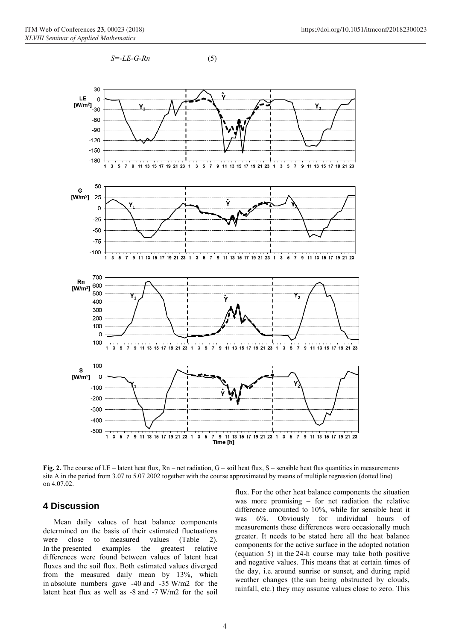

**Fig. 2.** The course of LE – latent heat flux, Rn – net radiation, G – soil heat flux, S – sensible heat flus quantities in measurements site A in the period from 3.07 to 5.07 2002 together with the course approximated by means of multiple regression (dotted line) on 4.07.02.

#### **4 Discussion**

Mean daily values of heat balance components determined on the basis of their estimated fluctuations were close to measured values (Table 2). In the presented examples the greatest relative differences were found between values of latent heat fluxes and the soil flux. Both estimated values diverged from the measured daily mean by 13%, which in absolute numbers gave -40 and -35 W/m2 for the latent heat flux as well as -8 and -7 W/m2 for the soil

flux. For the other heat balance components the situation was more promising – for net radiation the relative difference amounted to 10%, while for sensible heat it was 6%. Obviously for individual hours of measurements these differences were occasionally much greater. It needs to be stated here all the heat balance components for the active surface in the adopted notation (equation 5) in the 24-h course may take both positive and negative values. This means that at certain times of the day, i.e. around sunrise or sunset, and during rapid weather changes (the sun being obstructed by clouds, rainfall, etc.) they may assume values close to zero. This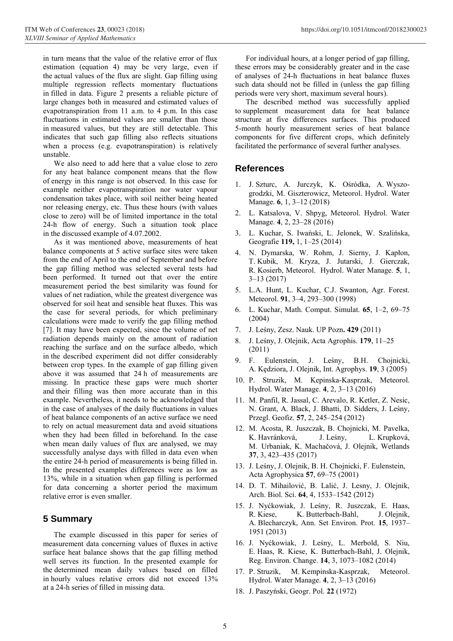in turn means that the value of the relative error of flux estimation (equation 4) may be very large, even if the actual values of the flux are slight. Gap filling using multiple regression reflects momentary fluctuations in filled in data. Figure 2 presents a reliable picture of large changes both in measured and estimated values of evapotranspiration from 11 a.m. to 4 p.m. In this case fluctuations in estimated values are smaller than those in measured values, but they are still detectable. This indicates that such gap filling also reflects situations when a process (e.g. evapotranspiration) is relatively unstable.

We also need to add here that a value close to zero for any heat balance component means that the flow of energy in this range is not observed. In this case for example neither evapotranspiration nor water vapour condensation takes place, with soil neither being heated nor releasing energy, etc. Thus these hours (with values close to zero) will be of limited importance in the total 24-h flow of energy. Such a situation took place in the discussed example of 4.07.2002.

As it was mentioned above, measurements of heat balance components at 5 active surface sites were taken from the end of April to the end of September and before the gap filling method was selected several tests had been performed. It turned out that over the entire measurement period the best similarity was found for values of net radiation, while the greatest divergence was observed for soil heat and sensible heat fluxes. This was the case for several periods, for which preliminary calculations were made to verify the gap filling method [7]. It may have been expected, since the volume of net radiation depends mainly on the amount of radiation reaching the surface and on the surface albedo, which in the described experiment did not differ considerably between crop types. In the example of gap filling given above it was assumed that 24 h of measurements are missing. In practice these gaps were much shorter and their filling was then more accurate than in this example. Nevertheless, it needs to be acknowledged that in the case of analyses of the daily fluctuations in values of heat balance components of an active surface we need to rely on actual measurement data and avoid situations when they had been filled in beforehand. In the case when mean daily values of flux are analysed, we may successfully analyse days with filled in data even when the entire 24-h period of measurements is being filled in. In the presented examples differences were as low as 13%, while in a situation when gap filling is performed for data concerning a shorter period the maximum relative error is even smaller.

### **5 Summary**

The example discussed in this paper for series of measurement data concerning values of fluxes in active surface heat balance shows that the gap filling method well serves its function. In the presented example for the determined mean daily values based on filled in hourly values relative errors did not exceed 13% at a 24-h series of filled in missing data.

For individual hours, at a longer period of gap filling, these errors may be considerably greater and in the case of analyses of 24-h fluctuations in heat balance fluxes such data should not be filled in (unless the gap filling periods were very short, maximum several hours).

The described method was successfully applied to supplement measurement data for heat balance structure at five differences surfaces. This produced 5-month hourly measurement series of heat balance components for five different crops, which definitely facilitated the performance of several further analyses.

#### **References**

- <span id="page-4-0"></span>1. J. Szturc, A. Jurczyk, K. Ośródka, A. Wyszogrodzki, M. Giszterowicz, Meteorol. Hydrol. Water Manage. **6**, 1, 3–12 (2018)
- 2. L. Katsalova, V. Shpyg, Meteorol. Hydrol. Water Manage. **4**, 2, 23–28 (2016)
- <span id="page-4-1"></span>3. L. Kuchar, S. Iwański, L. Jelonek, W. Szalińska, Geografie **119,** 1, 1–25 (2014)
- <span id="page-4-2"></span>4. N. Dymarska, W. Rohm, J. Sierny, J. Kapłon, T. Kubik, M. Kryza, J. Jutarski, J. Gierczak, R. Kosierb, Meteorol. Hydrol. Water Manage. **5**, 1, 3–13 (2017)
- <span id="page-4-3"></span>5. L.A. Hunt, L. Kuchar, C.J. Swanton, Agr. Forest. Meteorol. **91**, 3–4, 293–300 (1998)
- <span id="page-4-4"></span>6. L. Kuchar, Math. Comput. Simulat. **65**, 1–2, 69–75 (2004)
- <span id="page-4-5"></span>7. J. Leśny, Zesz. Nauk. UP Pozn. 429 (2011)
- <span id="page-4-6"></span>8. J. Leśny, J. Olejnik, Acta Agrophis. 179, 11–25 (2011)
- 9. F. Eulenstein, J. Leśny, B.H. Chojnicki, A. Kędziora, J. Olejnik, Int. Agrophys. **19**, 3 (2005)
- <span id="page-4-7"></span>10. P. Struzik, M. Kepinska-Kasprzak, Meteorol. Hydrol. Water Manage. **4**, 2, 3–13 (2016)
- <span id="page-4-8"></span>11. M. Panfil, R. Jassal, C. Arevalo, R. Ketler, Z. Nesic, N. Grant, A. Black, J. Bhatti, D. Sidders, J. Leśny, Przegl. Geofiz. **57**, 2, 245–254 (2012)
- <span id="page-4-9"></span>12. M. Acosta, R. Juszczak, B. Chojnicki, M. Pavelka, K. Havránková, J. Leśny, L. Krupková, M. Urbaniak, K. Machačová, J. Olejnik, Wetlands **37**, 3, 423–435 (2017)
- <span id="page-4-10"></span>13. J. Leśny, J. Olejnik, B. H. Chojnicki, F. Eulenstein, Acta Agrophysica **57**, 69–75 (2001)
- 14. D. T. Mihailović, B. Lalić, J. Lesny, J. Olejnik, Arch. Biol. Sci. **64**, 4, 1533–1542 (2012)
- <span id="page-4-11"></span>15. J. Nyćkowiak, J. Leśny, R. Juszczak, E. Haas, R. Kiese, K. Butterbach-Bahl, J. Olejnik, A. Blecharczyk, Ann. Set Environ. Prot. **15**, 1937– 1951 (2013)
- <span id="page-4-12"></span>16. J. Nyćkowiak, J. Leśny, L. Merbold, S. Niu, E. Haas, R. Kiese, K. Butterbach-Bahl, J. Olejnik, Reg. Environ. Change. **14**, 3, 1073–1082 (2014)
- <span id="page-4-13"></span>17. P. Struzik, M. Kempinska-Kasprzak, Meteorol. Hydrol. Water Manage. **4**, 2, 3–13 (2016)
- <span id="page-4-14"></span>18. J. Paszyński, Geogr. Pol. 22 (1972)